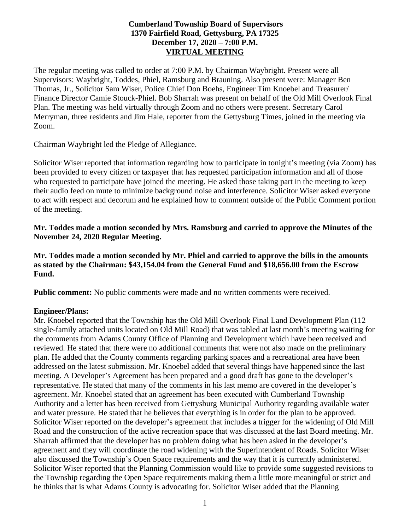## **Cumberland Township Board of Supervisors 1370 Fairfield Road, Gettysburg, PA 17325 December 17, 2020 – 7:00 P.M. VIRTUAL MEETING**

The regular meeting was called to order at 7:00 P.M. by Chairman Waybright. Present were all Supervisors: Waybright, Toddes, Phiel, Ramsburg and Brauning. Also present were: Manager Ben Thomas, Jr., Solicitor Sam Wiser, Police Chief Don Boehs, Engineer Tim Knoebel and Treasurer/ Finance Director Camie Stouck-Phiel. Bob Sharrah was present on behalf of the Old Mill Overlook Final Plan. The meeting was held virtually through Zoom and no others were present. Secretary Carol Merryman, three residents and Jim Hale, reporter from the Gettysburg Times, joined in the meeting via Zoom.

Chairman Waybright led the Pledge of Allegiance.

Solicitor Wiser reported that information regarding how to participate in tonight's meeting (via Zoom) has been provided to every citizen or taxpayer that has requested participation information and all of those who requested to participate have joined the meeting. He asked those taking part in the meeting to keep their audio feed on mute to minimize background noise and interference. Solicitor Wiser asked everyone to act with respect and decorum and he explained how to comment outside of the Public Comment portion of the meeting.

**Mr. Toddes made a motion seconded by Mrs. Ramsburg and carried to approve the Minutes of the November 24, 2020 Regular Meeting.**

**Mr. Toddes made a motion seconded by Mr. Phiel and carried to approve the bills in the amounts as stated by the Chairman: \$43,154.04 from the General Fund and \$18,656.00 from the Escrow Fund.**

**Public comment:** No public comments were made and no written comments were received.

#### **Engineer/Plans:**

Mr. Knoebel reported that the Township has the Old Mill Overlook Final Land Development Plan (112 single-family attached units located on Old Mill Road) that was tabled at last month's meeting waiting for the comments from Adams County Office of Planning and Development which have been received and reviewed. He stated that there were no additional comments that were not also made on the preliminary plan. He added that the County comments regarding parking spaces and a recreational area have been addressed on the latest submission. Mr. Knoebel added that several things have happened since the last meeting. A Developer's Agreement has been prepared and a good draft has gone to the developer's representative. He stated that many of the comments in his last memo are covered in the developer's agreement. Mr. Knoebel stated that an agreement has been executed with Cumberland Township Authority and a letter has been received from Gettysburg Municipal Authority regarding available water and water pressure. He stated that he believes that everything is in order for the plan to be approved. Solicitor Wiser reported on the developer's agreement that includes a trigger for the widening of Old Mill Road and the construction of the active recreation space that was discussed at the last Board meeting. Mr. Sharrah affirmed that the developer has no problem doing what has been asked in the developer's agreement and they will coordinate the road widening with the Superintendent of Roads. Solicitor Wiser also discussed the Township's Open Space requirements and the way that it is currently administered. Solicitor Wiser reported that the Planning Commission would like to provide some suggested revisions to the Township regarding the Open Space requirements making them a little more meaningful or strict and he thinks that is what Adams County is advocating for. Solicitor Wiser added that the Planning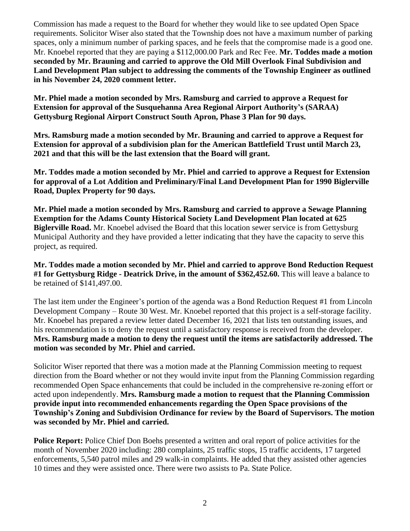Commission has made a request to the Board for whether they would like to see updated Open Space requirements. Solicitor Wiser also stated that the Township does not have a maximum number of parking spaces, only a minimum number of parking spaces, and he feels that the compromise made is a good one. Mr. Knoebel reported that they are paying a \$112,000.00 Park and Rec Fee. **Mr. Toddes made a motion seconded by Mr. Brauning and carried to approve the Old Mill Overlook Final Subdivision and Land Development Plan subject to addressing the comments of the Township Engineer as outlined in his November 24, 2020 comment letter.** 

**Mr. Phiel made a motion seconded by Mrs. Ramsburg and carried to approve a Request for Extension for approval of the Susquehanna Area Regional Airport Authority's (SARAA) Gettysburg Regional Airport Construct South Apron, Phase 3 Plan for 90 days.** 

**Mrs. Ramsburg made a motion seconded by Mr. Brauning and carried to approve a Request for Extension for approval of a subdivision plan for the American Battlefield Trust until March 23, 2021 and that this will be the last extension that the Board will grant.**

**Mr. Toddes made a motion seconded by Mr. Phiel and carried to approve a Request for Extension for approval of a Lot Addition and Preliminary/Final Land Development Plan for 1990 Biglerville Road, Duplex Property for 90 days.** 

**Mr. Phiel made a motion seconded by Mrs. Ramsburg and carried to approve a Sewage Planning Exemption for the Adams County Historical Society Land Development Plan located at 625 Biglerville Road.** Mr. Knoebel advised the Board that this location sewer service is from Gettysburg Municipal Authority and they have provided a letter indicating that they have the capacity to serve this project, as required.

**Mr. Toddes made a motion seconded by Mr. Phiel and carried to approve Bond Reduction Request #1 for Gettysburg Ridge - Deatrick Drive, in the amount of \$362,452.60.** This will leave a balance to be retained of \$141,497.00.

The last item under the Engineer's portion of the agenda was a Bond Reduction Request #1 from Lincoln Development Company – Route 30 West. Mr. Knoebel reported that this project is a self-storage facility. Mr. Knoebel has prepared a review letter dated December 16, 2021 that lists ten outstanding issues, and his recommendation is to deny the request until a satisfactory response is received from the developer. **Mrs. Ramsburg made a motion to deny the request until the items are satisfactorily addressed. The motion was seconded by Mr. Phiel and carried.** 

Solicitor Wiser reported that there was a motion made at the Planning Commission meeting to request direction from the Board whether or not they would invite input from the Planning Commission regarding recommended Open Space enhancements that could be included in the comprehensive re-zoning effort or acted upon independently. **Mrs. Ramsburg made a motion to request that the Planning Commission provide input into recommended enhancements regarding the Open Space provisions of the Township's Zoning and Subdivision Ordinance for review by the Board of Supervisors. The motion was seconded by Mr. Phiel and carried.**

**Police Report:** Police Chief Don Boehs presented a written and oral report of police activities for the month of November 2020 including: 280 complaints, 25 traffic stops, 15 traffic accidents, 17 targeted enforcements, 5,540 patrol miles and 29 walk-in complaints. He added that they assisted other agencies 10 times and they were assisted once. There were two assists to Pa. State Police.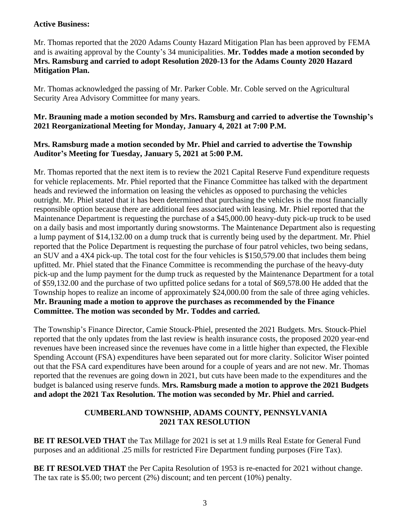#### **Active Business:**

Mr. Thomas reported that the 2020 Adams County Hazard Mitigation Plan has been approved by FEMA and is awaiting approval by the County's 34 municipalities. **Mr. Toddes made a motion seconded by Mrs. Ramsburg and carried to adopt Resolution 2020-13 for the Adams County 2020 Hazard Mitigation Plan.**

Mr. Thomas acknowledged the passing of Mr. Parker Coble. Mr. Coble served on the Agricultural Security Area Advisory Committee for many years.

## **Mr. Brauning made a motion seconded by Mrs. Ramsburg and carried to advertise the Township's 2021 Reorganizational Meeting for Monday, January 4, 2021 at 7:00 P.M.**

#### **Mrs. Ramsburg made a motion seconded by Mr. Phiel and carried to advertise the Township Auditor's Meeting for Tuesday, January 5, 2021 at 5:00 P.M.**

Mr. Thomas reported that the next item is to review the 2021 Capital Reserve Fund expenditure requests for vehicle replacements. Mr. Phiel reported that the Finance Committee has talked with the department heads and reviewed the information on leasing the vehicles as opposed to purchasing the vehicles outright. Mr. Phiel stated that it has been determined that purchasing the vehicles is the most financially responsible option because there are additional fees associated with leasing. Mr. Phiel reported that the Maintenance Department is requesting the purchase of a \$45,000.00 heavy-duty pick-up truck to be used on a daily basis and most importantly during snowstorms. The Maintenance Department also is requesting a lump payment of \$14,132.00 on a dump truck that is currently being used by the department. Mr. Phiel reported that the Police Department is requesting the purchase of four patrol vehicles, two being sedans, an SUV and a 4X4 pick-up. The total cost for the four vehicles is \$150,579.00 that includes them being upfitted. Mr. Phiel stated that the Finance Committee is recommending the purchase of the heavy-duty pick-up and the lump payment for the dump truck as requested by the Maintenance Department for a total of \$59,132.00 and the purchase of two upfitted police sedans for a total of \$69,578.00 He added that the Township hopes to realize an income of approximately \$24,000.00 from the sale of three aging vehicles. **Mr. Brauning made a motion to approve the purchases as recommended by the Finance Committee. The motion was seconded by Mr. Toddes and carried.**

The Township's Finance Director, Camie Stouck-Phiel, presented the 2021 Budgets. Mrs. Stouck-Phiel reported that the only updates from the last review is health insurance costs, the proposed 2020 year-end revenues have been increased since the revenues have come in a little higher than expected, the Flexible Spending Account (FSA) expenditures have been separated out for more clarity. Solicitor Wiser pointed out that the FSA card expenditures have been around for a couple of years and are not new. Mr. Thomas reported that the revenues are going down in 2021, but cuts have been made to the expenditures and the budget is balanced using reserve funds. **Mrs. Ramsburg made a motion to approve the 2021 Budgets and adopt the 2021 Tax Resolution. The motion was seconded by Mr. Phiel and carried.**

## **CUMBERLAND TOWNSHIP, ADAMS COUNTY, PENNSYLVANIA 2021 TAX RESOLUTION**

**BE IT RESOLVED THAT** the Tax Millage for 2021 is set at 1.9 mills Real Estate for General Fund purposes and an additional .25 mills for restricted Fire Department funding purposes (Fire Tax).

**BE IT RESOLVED THAT** the Per Capita Resolution of 1953 is re-enacted for 2021 without change. The tax rate is \$5.00; two percent (2%) discount; and ten percent (10%) penalty.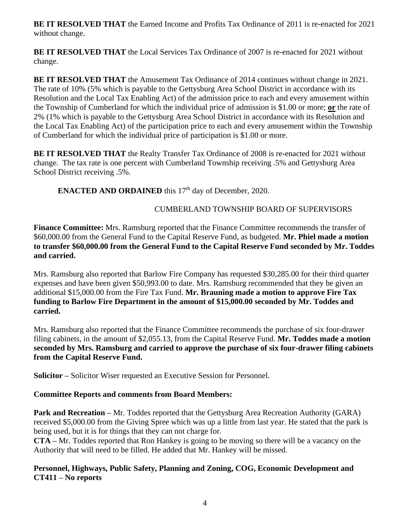**BE IT RESOLVED THAT** the Earned Income and Profits Tax Ordinance of 2011 is re-enacted for 2021 without change.

**BE IT RESOLVED THAT** the Local Services Tax Ordinance of 2007 is re-enacted for 2021 without change.

**BE IT RESOLVED THAT** the Amusement Tax Ordinance of 2014 continues without change in 2021. The rate of 10% (5% which is payable to the Gettysburg Area School District in accordance with its Resolution and the Local Tax Enabling Act) of the admission price to each and every amusement within the Township of Cumberland for which the individual price of admission is \$1.00 or more; **or** the rate of 2% (1% which is payable to the Gettysburg Area School District in accordance with its Resolution and the Local Tax Enabling Act) of the participation price to each and every amusement within the Township of Cumberland for which the individual price of participation is \$1.00 or more.

**BE IT RESOLVED THAT** the Realty Transfer Tax Ordinance of 2008 is re-enacted for 2021 without change. The tax rate is one percent with Cumberland Township receiving .5% and Gettysburg Area School District receiving .5%.

**ENACTED AND ORDAINED** this 17<sup>th</sup> day of December, 2020.

# CUMBERLAND TOWNSHIP BOARD OF SUPERVISORS

**Finance Committee:** Mrs. Ramsburg reported that the Finance Committee recommends the transfer of \$60,000.00 from the General Fund to the Capital Reserve Fund, as budgeted. **Mr. Phiel made a motion to transfer \$60,000.00 from the General Fund to the Capital Reserve Fund seconded by Mr. Toddes and carried.**

Mrs. Ramsburg also reported that Barlow Fire Company has requested \$30,285.00 for their third quarter expenses and have been given \$50,993.00 to date. Mrs. Ramsburg recommended that they be given an additional \$15,000.00 from the Fire Tax Fund. **Mr. Brauning made a motion to approve Fire Tax funding to Barlow Fire Department in the amount of \$15,000.00 seconded by Mr. Toddes and carried.** 

Mrs. Ramsburg also reported that the Finance Committee recommends the purchase of six four-drawer filing cabinets, in the amount of \$2,055.13, from the Capital Reserve Fund. **Mr. Toddes made a motion seconded by Mrs. Ramsburg and carried to approve the purchase of six four-drawer filing cabinets from the Capital Reserve Fund.** 

**Solicitor –** Solicitor Wiser requested an Executive Session for Personnel.

# **Committee Reports and comments from Board Members:**

**Park and Recreation** – Mr. Toddes reported that the Gettysburg Area Recreation Authority (GARA) received \$5,000.00 from the Giving Spree which was up a little from last year. He stated that the park is being used, but it is for things that they can not charge for.

**CTA –** Mr. Toddes reported that Ron Hankey is going to be moving so there will be a vacancy on the Authority that will need to be filled. He added that Mr. Hankey will be missed.

## **Personnel, Highways, Public Safety, Planning and Zoning, COG, Economic Development and CT411 – No reports**